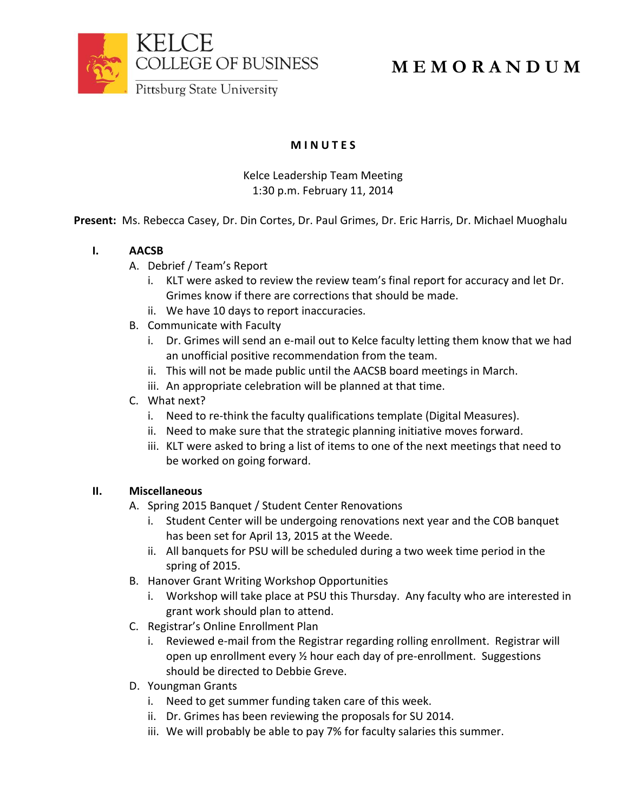

# **M E M O R A N D U M**

**M I N U T E S**

Kelce Leadership Team Meeting 1:30 p.m. February 11, 2014

**Present:** Ms. Rebecca Casey, Dr. Din Cortes, Dr. Paul Grimes, Dr. Eric Harris, Dr. Michael Muoghalu

## **I. AACSB**

- A. Debrief / Team's Report
	- i. KLT were asked to review the review team's final report for accuracy and let Dr. Grimes know if there are corrections that should be made.
	- ii. We have 10 days to report inaccuracies.
- B. Communicate with Faculty
	- i. Dr. Grimes will send an e-mail out to Kelce faculty letting them know that we had an unofficial positive recommendation from the team.
	- ii. This will not be made public until the AACSB board meetings in March.
	- iii. An appropriate celebration will be planned at that time.
- C. What next?
	- i. Need to re-think the faculty qualifications template (Digital Measures).
	- ii. Need to make sure that the strategic planning initiative moves forward.
	- iii. KLT were asked to bring a list of items to one of the next meetings that need to be worked on going forward.

### **II. Miscellaneous**

- A. Spring 2015 Banquet / Student Center Renovations
	- i. Student Center will be undergoing renovations next year and the COB banquet has been set for April 13, 2015 at the Weede.
	- ii. All banquets for PSU will be scheduled during a two week time period in the spring of 2015.
- B. Hanover Grant Writing Workshop Opportunities
	- i. Workshop will take place at PSU this Thursday. Any faculty who are interested in grant work should plan to attend.
- C. Registrar's Online Enrollment Plan
	- i. Reviewed e-mail from the Registrar regarding rolling enrollment. Registrar will open up enrollment every ½ hour each day of pre-enrollment. Suggestions should be directed to Debbie Greve.
- D. Youngman Grants
	- i. Need to get summer funding taken care of this week.
	- ii. Dr. Grimes has been reviewing the proposals for SU 2014.
	- iii. We will probably be able to pay 7% for faculty salaries this summer.